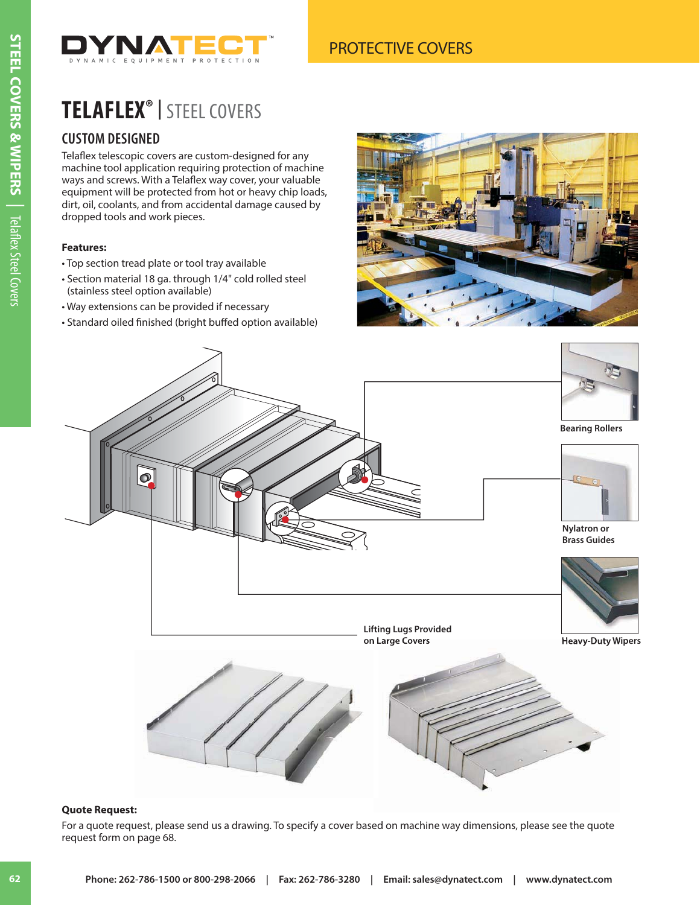

# **TELAFLEX® |** STEEL COVERS

### **CUSTOM DESIGNED**

Telaflex telescopic covers are custom-designed for any machine tool application requiring protection of machine ways and screws. With a Telaflex way cover, your valuable equipment will be protected from hot or heavy chip loads, dirt, oil, coolants, and from accidental damage caused by dropped tools and work pieces.

#### **Features:**

- Top section tread plate or tool tray available
- Section material 18 ga. through 1/4" cold rolled steel (stainless steel option available)
- Way extensions can be provided if necessary
- Standard oiled finished (bright buffed option available)





#### **Quote Request:**

For a quote request, please send us a drawing. To specify a cover based on machine way dimensions, please see the quote request form on page 68.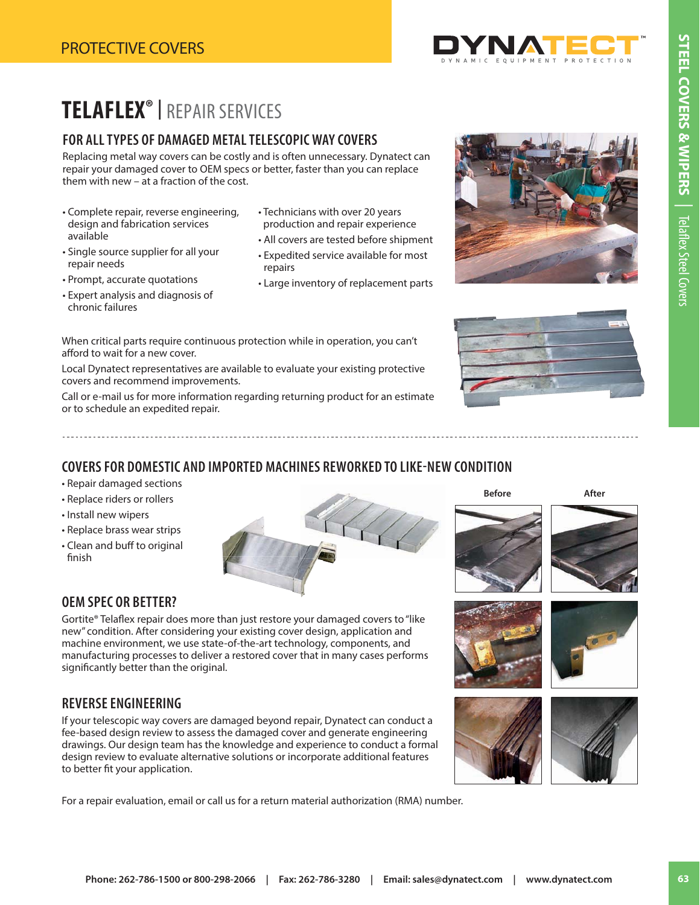

# **TELAFLEX® |** REPAIR SERVICES

#### **FOR ALL TYPES OF DAMAGED METAL TELESCOPIC WAY COVERS**

Replacing metal way covers can be costly and is often unnecessary. Dynatect can repair your damaged cover to OEM specs or better, faster than you can replace them with new – at a fraction of the cost.

- Complete repair, reverse engineering, design and fabrication services available
- Single source supplier for all your repair needs
- Prompt, accurate quotations
- Expert analysis and diagnosis of chronic failures
- Technicians with over 20 years production and repair experience
- All covers are tested before shipment
- Expedited service available for most repairs
- Large inventory of replacement parts
- When critical parts require continuous protection while in operation, you can't afford to wait for a new cover.

Local Dynatect representatives are available to evaluate your existing protective covers and recommend improvements.

Call or e-mail us for more information regarding returning product for an estimate or to schedule an expedited repair.

#### **COVERS FOR DOMESTIC AND IMPORTED MACHINES REWORKED TO LIKE-NEW CONDITION**

- Repair damaged sections
- Replace riders or rollers
- Install new wipers
- Replace brass wear strips
- Clean and buff to original finish



### **OEM SPEC OR BETTER?**

Gortite® Telaflex repair does more than just restore your damaged covers to "like new" condition. After considering your existing cover design, application and machine environment, we use state-of-the-art technology, components, and manufacturing processes to deliver a restored cover that in many cases performs significantly better than the original.

#### **REVERSE ENGINEERING**

If your telescopic way covers are damaged beyond repair, Dynatect can conduct a fee-based design review to assess the damaged cover and generate engineering drawings. Our design team has the knowledge and experience to conduct a formal design review to evaluate alternative solutions or incorporate additional features to better fit your application.

For a repair evaluation, email or call us for a return material authorization (RMA) number.













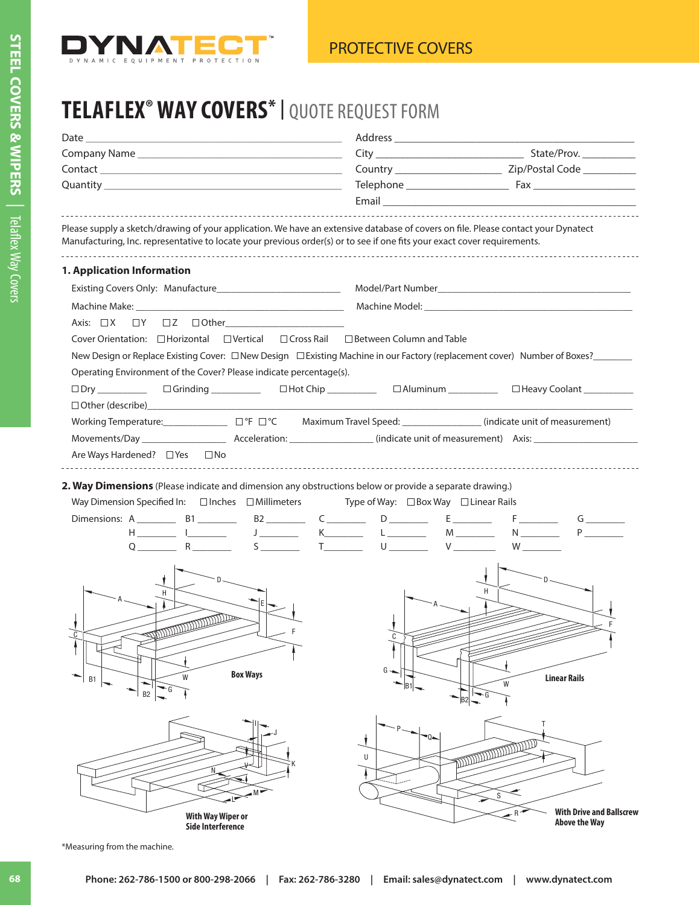

## **TELAFLEX® WAY COVERS\* |** QUOTE REQUEST FORM

| Please supply a sketch/drawing of your application. We have an extensive database of covers on file. Please contact your Dynatect<br>Manufacturing, Inc. representative to locate your previous order(s) or to see if one fits your exact cover requirements. |                                                                                                                                                                                                     |
|---------------------------------------------------------------------------------------------------------------------------------------------------------------------------------------------------------------------------------------------------------------|-----------------------------------------------------------------------------------------------------------------------------------------------------------------------------------------------------|
| 1. Application Information                                                                                                                                                                                                                                    |                                                                                                                                                                                                     |
|                                                                                                                                                                                                                                                               |                                                                                                                                                                                                     |
|                                                                                                                                                                                                                                                               |                                                                                                                                                                                                     |
| $\Box Y \quad \Box Z \quad \Box \text{Other} \underline{\hspace{1cm}} \underline{\hspace{1cm}} \underline{\hspace{1cm}} \underline{\hspace{1cm}}$<br>Axis: $\Box$ X                                                                                           |                                                                                                                                                                                                     |
| Cover Orientation: □ Horizontal<br>$\Box$ Vertical $\Box$ Cross Rail $\Box$ Between Column and Table                                                                                                                                                          |                                                                                                                                                                                                     |
|                                                                                                                                                                                                                                                               | New Design or Replace Existing Cover: □ New Design □ Existing Machine in our Factory (replacement cover) Number of Boxes?<br>□ Existing Machine in our Factory (replacement cover) Number of Boxes? |
| Operating Environment of the Cover? Please indicate percentage(s).                                                                                                                                                                                            |                                                                                                                                                                                                     |
| □ Dry __________  □ Grinding ___________  □ Hot Chip ___________  □ Aluminum __________                                                                                                                                                                       | □ Heavy Coolant __________                                                                                                                                                                          |
|                                                                                                                                                                                                                                                               |                                                                                                                                                                                                     |
| Working Temperature: ______________________ □°F □°C Maximum Travel Speed: ___________________(indicate unit of measurement)                                                                                                                                   |                                                                                                                                                                                                     |
|                                                                                                                                                                                                                                                               |                                                                                                                                                                                                     |
| Are Ways Hardened? $\Box$ Yes<br>$\square$ No                                                                                                                                                                                                                 |                                                                                                                                                                                                     |
| 2. Way Dimensions (Please indicate and dimension any obstructions below or provide a separate drawing.)<br>Way Dimension Specified In: $\Box$ Inches $\Box$ Millimeters<br>$Q$ $R$ $S$ $I$ $U$ $U$ $V$ $W$ $W$                                                | Type of Way: $\Box$ Box Way $\Box$ Linear Rails<br>G<br>$P_{\perp}$<br>L ________ M _______ N _______                                                                                               |
| <b>SUPERINTENDENCE</b><br><b>Box Ways</b><br>W<br>B1<br>B <sub>2</sub>                                                                                                                                                                                        | G<br><b>Linear Rails</b><br>W<br>G                                                                                                                                                                  |
| <b>With Way Wiper or</b><br><b>Side Interference</b>                                                                                                                                                                                                          | Τ<br><b>North District of the Second Property</b><br>U<br>S<br><b>With Drive and Ballscrew</b><br><b>Above the Way</b>                                                                              |

\*Measuring from the machine.